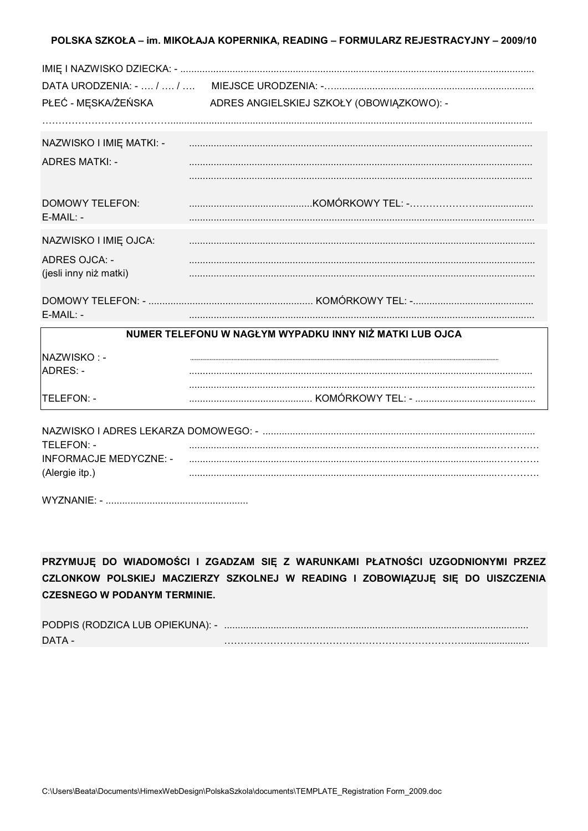## POLSKA SZKOŁA – im. MIKOŁAJA KOPERNIKA, READING – FORMULARZ REJESTRACYJNY – 2009/10

| PŁEĆ - MĘSKA/ŻEŃSKA           | ADRES ANGIELSKIEJ SZKOŁY (OBOWIĄZKOWO): -               |
|-------------------------------|---------------------------------------------------------|
|                               |                                                         |
| NAZWISKO I IMIĘ MATKI: -      |                                                         |
| <b>ADRES MATKI: -</b>         |                                                         |
|                               |                                                         |
| <b>DOMOWY TELEFON:</b>        |                                                         |
| $E-MAIL: -$                   |                                                         |
| NAZWISKO I IMIĘ OJCA:         |                                                         |
| <b>ADRES OJCA: -</b>          |                                                         |
| (jesli inny niż matki)        |                                                         |
|                               |                                                         |
| $E-MAIL: -$                   |                                                         |
|                               | NUMER TELEFONU W NAGŁYM WYPADKU INNY NIŻ MATKI LUB OJCA |
| NAZWISKO: -                   |                                                         |
| ADRES: -                      |                                                         |
|                               |                                                         |
| TELEFON: -                    |                                                         |
|                               |                                                         |
| TELEFON: -                    |                                                         |
| <b>INFORMACJE MEDYCZNE: -</b> |                                                         |
| (Alergie itp.)                |                                                         |

| <b>WYZNANIE</b> |  |
|-----------------|--|
|-----------------|--|

PRZYMUJĘ DO WIADOMOŚCI I ZGADZAM SIĘ Z WARUNKAMI PŁATNOŚCI UZGODNIONYMI PRZEZ CZLONKOW POLSKIEJ MACZIERZY SZKOLNEJ W READING I ZOBOWIĄZUJĘ SIĘ DO UISZCZENIA **CZESNEGO W PODANYM TERMINIE.** 

| PODPIS (RODZICA LUB OPIEKUNA): - |  |
|----------------------------------|--|
| DATA -                           |  |